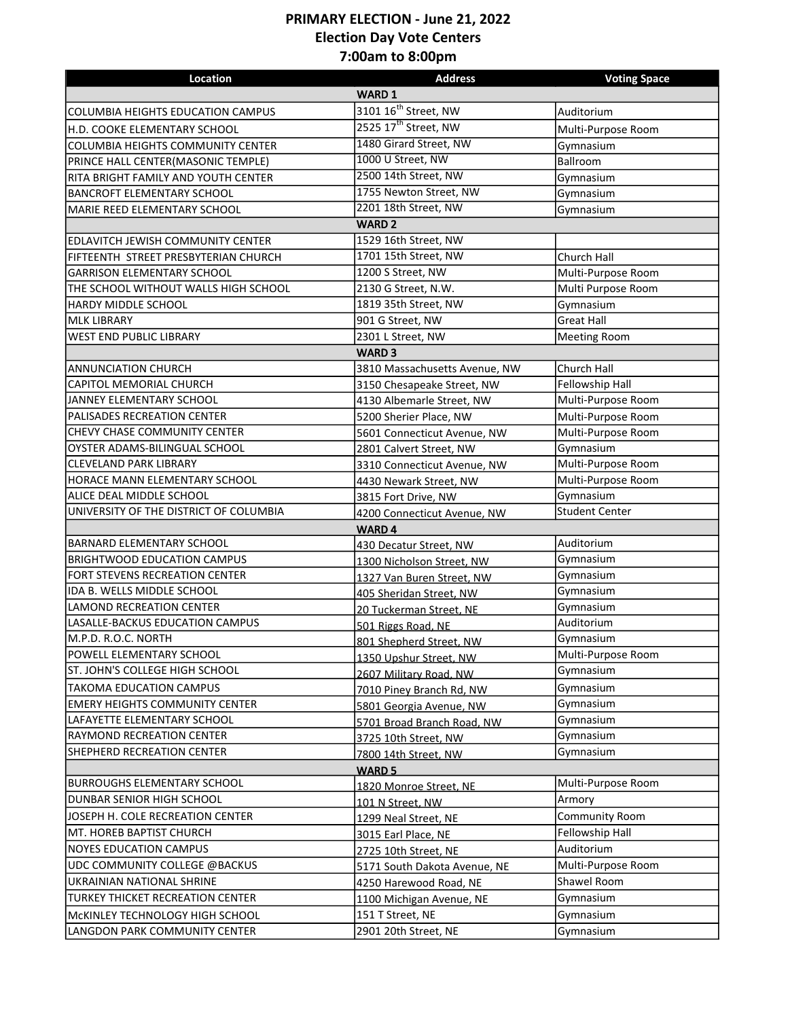## **PRIMARY ELECTION - June 21, 2022 Election Day Vote Centers 7:00am to 8:00pm**

| Location                                 | <b>Address</b>                   | <b>Voting Space</b>   |  |
|------------------------------------------|----------------------------------|-----------------------|--|
| WARD 1                                   |                                  |                       |  |
| <b>COLUMBIA HEIGHTS EDUCATION CAMPUS</b> | 3101 16 <sup>th</sup> Street, NW | Auditorium            |  |
| H.D. COOKE ELEMENTARY SCHOOL             | 2525 17 <sup>th</sup> Street, NW | Multi-Purpose Room    |  |
| <b>COLUMBIA HEIGHTS COMMUNITY CENTER</b> | 1480 Girard Street, NW           | Gymnasium             |  |
| PRINCE HALL CENTER(MASONIC TEMPLE)       | 1000 U Street, NW                | Ballroom              |  |
| RITA BRIGHT FAMILY AND YOUTH CENTER      | 2500 14th Street, NW             | Gymnasium             |  |
| BANCROFT ELEMENTARY SCHOOL               | 1755 Newton Street, NW           | Gymnasium             |  |
| MARIE REED ELEMENTARY SCHOOL             | 2201 18th Street, NW             | Gymnasium             |  |
| <b>WARD 2</b>                            |                                  |                       |  |
| <b>EDLAVITCH JEWISH COMMUNITY CENTER</b> | 1529 16th Street, NW             |                       |  |
| FIFTEENTH STREET PRESBYTERIAN CHURCH     | 1701 15th Street, NW             | Church Hall           |  |
| <b>GARRISON ELEMENTARY SCHOOL</b>        | 1200 S Street, NW                | Multi-Purpose Room    |  |
| THE SCHOOL WITHOUT WALLS HIGH SCHOOL     | 2130 G Street, N.W.              | Multi Purpose Room    |  |
| HARDY MIDDLE SCHOOL                      | 1819 35th Street, NW             | Gymnasium             |  |
| <b>MLK LIBRARY</b>                       | 901 G Street, NW                 | <b>Great Hall</b>     |  |
| WEST END PUBLIC LIBRARY                  | 2301 L Street, NW                | <b>Meeting Room</b>   |  |
|                                          | <b>WARD 3</b>                    |                       |  |
| ANNUNCIATION CHURCH                      | 3810 Massachusetts Avenue, NW    | Church Hall           |  |
| CAPITOL MEMORIAL CHURCH                  | 3150 Chesapeake Street, NW       | Fellowship Hall       |  |
| JANNEY ELEMENTARY SCHOOL                 | 4130 Albemarle Street, NW        | Multi-Purpose Room    |  |
| PALISADES RECREATION CENTER              | 5200 Sherier Place, NW           | Multi-Purpose Room    |  |
| <b>CHEVY CHASE COMMUNITY CENTER</b>      | 5601 Connecticut Avenue, NW      | Multi-Purpose Room    |  |
| OYSTER ADAMS-BILINGUAL SCHOOL            | 2801 Calvert Street, NW          | Gymnasium             |  |
| <b>CLEVELAND PARK LIBRARY</b>            | 3310 Connecticut Avenue, NW      | Multi-Purpose Room    |  |
| HORACE MANN ELEMENTARY SCHOOL            | 4430 Newark Street, NW           | Multi-Purpose Room    |  |
| ALICE DEAL MIDDLE SCHOOL                 | 3815 Fort Drive, NW              | Gymnasium             |  |
| UNIVERSITY OF THE DISTRICT OF COLUMBIA   | 4200 Connecticut Avenue, NW      | <b>Student Center</b> |  |
| <b>WARD4</b>                             |                                  |                       |  |
| <b>BARNARD ELEMENTARY SCHOOL</b>         | 430 Decatur Street, NW           | Auditorium            |  |
| <b>BRIGHTWOOD EDUCATION CAMPUS</b>       | 1300 Nicholson Street, NW        | Gymnasium             |  |
| FORT STEVENS RECREATION CENTER           | 1327 Van Buren Street, NW        | Gymnasium             |  |
| IDA B. WELLS MIDDLE SCHOOL               | 405 Sheridan Street, NW          | Gymnasium             |  |
| <b>LAMOND RECREATION CENTER</b>          | 20 Tuckerman Street, NE          | Gymnasium             |  |
| LASALLE-BACKUS EDUCATION CAMPUS          | 501 Riggs Road, NE               | Auditorium            |  |
| lm.p.d. r.o.c. north                     | 801 Shepherd Street, NW          | Gymnasium             |  |
| POWELL ELEMENTARY SCHOOL                 | 1350 Upshur Street. NW           | Multi-Purpose Room    |  |
| ST. JOHN'S COLLEGE HIGH SCHOOL           | 2607 Military Road, NW           | Gymnasium             |  |
| TAKOMA EDUCATION CAMPUS                  | 7010 Piney Branch Rd, NW         | Gymnasium             |  |
| <b>EMERY HEIGHTS COMMUNITY CENTER</b>    | 5801 Georgia Avenue, NW          | Gymnasium             |  |
| LAFAYETTE ELEMENTARY SCHOOL              | 5701 Broad Branch Road, NW       | Gymnasium             |  |
| RAYMOND RECREATION CENTER                | 3725 10th Street, NW             | Gymnasium             |  |
| SHEPHERD RECREATION CENTER               | 7800 14th Street, NW             | Gymnasium             |  |
| <b>WARD 5</b>                            |                                  |                       |  |
| <b>BURROUGHS ELEMENTARY SCHOOL</b>       | 1820 Monroe Street, NE           | Multi-Purpose Room    |  |
| DUNBAR SENIOR HIGH SCHOOL                | 101 N Street, NW                 | Armory                |  |
| JOSEPH H. COLE RECREATION CENTER         | 1299 Neal Street, NE             | <b>Community Room</b> |  |
| MT. HOREB BAPTIST CHURCH                 | 3015 Earl Place, NE              | Fellowship Hall       |  |
| NOYES EDUCATION CAMPUS                   | 2725 10th Street, NE             | Auditorium            |  |
| UDC COMMUNITY COLLEGE @BACKUS            | 5171 South Dakota Avenue, NE     | Multi-Purpose Room    |  |
| UKRAINIAN NATIONAL SHRINE                | 4250 Harewood Road, NE           | Shawel Room           |  |
| TURKEY THICKET RECREATION CENTER         | 1100 Michigan Avenue, NE         | Gymnasium             |  |
| MCKINLEY TECHNOLOGY HIGH SCHOOL          | 151 T Street, NE                 | Gymnasium             |  |
| LANGDON PARK COMMUNITY CENTER            | 2901 20th Street, NE             | Gymnasium             |  |